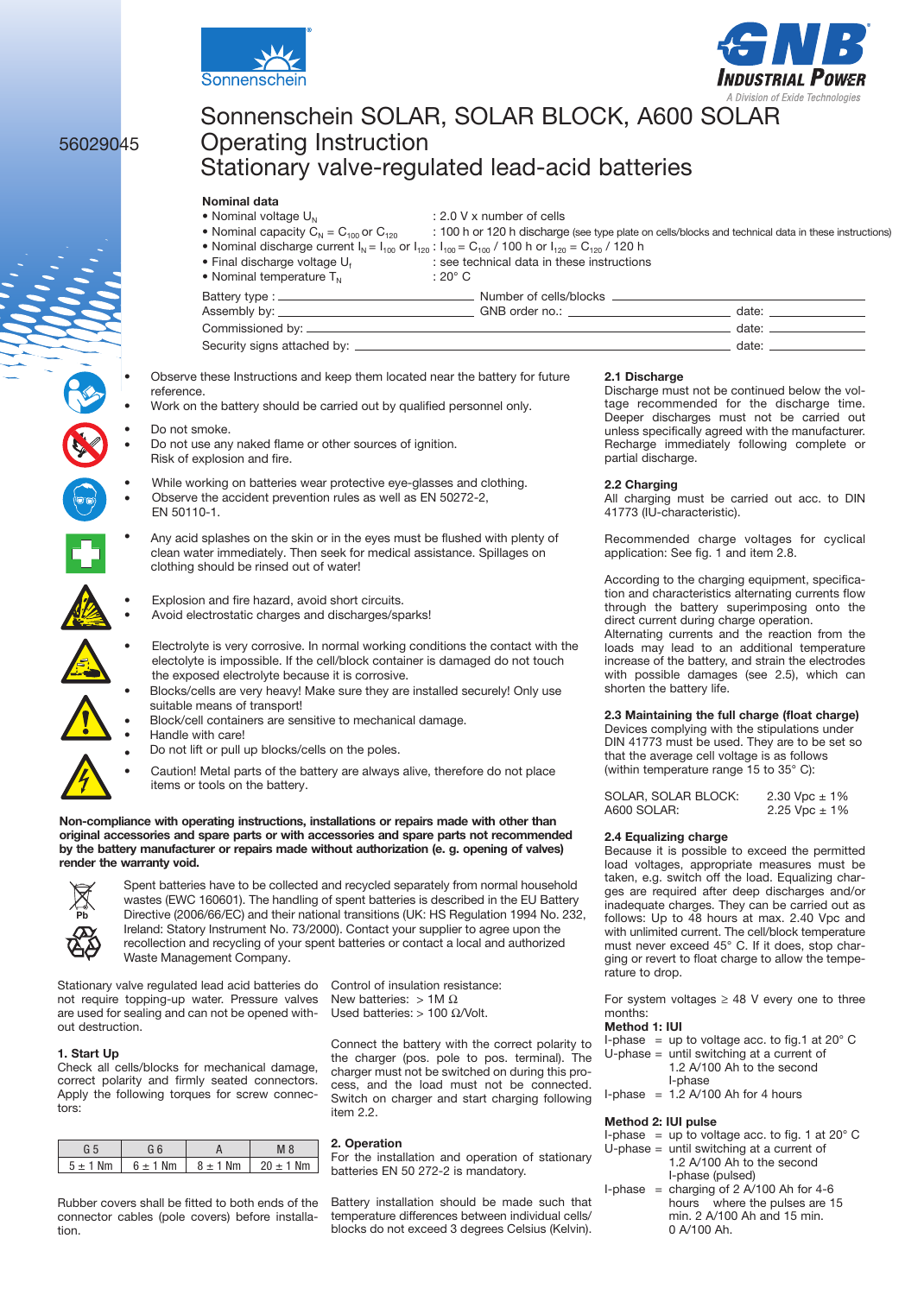



#### • • • • • • • • • • • • • Observe these Instructions and keep them located near the battery for future reference. Work on the battery should be carried out by qualified personnel only. Do not smoke. Do not use any naked flame or other sources of ignition. Risk of explosion and fire. While working on batteries wear protective eye-glasses and clothing. Observe the accident prevention rules as well as EN 50272-2, EN 50110-1. Any acid splashes on the skin or in the eyes must be flushed with plenty of clean water immediately. Then seek for medical assistance. Spillages on clothing should be rinsed out of water! Explosion and fire hazard, avoid short circuits. Avoid electrostatic charges and discharges/sparks! Blocks/cells are very heavy! Make sure they are installed securely! Only use suitable means of transport! Block/cell containers are sensitive to mechanical damage. Handle with care! Do not lift or pull up blocks/cells on the poles. Electrolyte is very corrosive. In normal working conditions the contact with the electolyte is impossible. If the cell/block container is damaged do not touch the exposed electrolyte because it is corrosive. 56029045 Sonnenschein SOLAR, SOLAR BLOCK, A600 SOLAR Operating Instruction Stationary valve-regulated lead-acid batteries **Nominal data** • Nominal voltage  $U_N$  : 2.0 V x number of cells • Nominal capacity  $C_N = C_{100}$  or  $C_{120}$  : 100 h or 120 h discharge (see type plate on cells/blocks and technical data in these instructions) • Nominal discharge current  $I_N = I_{100}$  or  $I_{120}$  :  $I_{100} = C_{100}$  / 100 h or  $I_{120} = C_{120}$  / 120 h  $\bullet$  Final discharge voltage  $U_f$ : see technical data in these instructions • Nominal temperature  $T_N$  : 20° C Battery type : Number of cells/blocks Assembly by: GNB order no.: date: Commissioned by: date: Security signs attached by: date: **2.1 Discharge** Discharge must not be continued below the voltage recommended for the discharge time. Deeper discharges must not be carried out unless specifically agreed with the manufacturer. Recharge immediately following complete or partial discharge. **2.2 Charging** All charging must be carried out acc. to DIN 41773 (IU-characteristic). Recommended charge voltages for cyclical application: See fig. 1 and item 2.8. According to the charging equipment, specification and characteristics alternating currents flow through the battery superimposing onto the direct current during charge operation. Alternating currents and the reaction from the loads may lead to an additional temperature increase of the battery, and strain the electrodes with possible damages (see 2.5), which can shorten the battery life. **2.3 Maintaining the full charge (float charge)** Devices complying with the stipulations under DIN 41773 must be used. They are to be set so

• • Caution! Metal parts of the battery are always alive, therefore do not place items or tools on the battery.

### **Non-compliance with operating instructions, installations or repairs made with other than original accessories and spare parts or with accessories and spare parts not recommended by the battery manufacturer or repairs made without authorization (e. g. opening of valves) render the warranty void.**



Spent batteries have to be collected and recycled separately from normal household wastes (EWC 160601). The handling of spent batteries is described in the EU Battery Directive (2006/66/EC) and their national transitions (UK: HS Regulation 1994 No. 232, Ireland: Statory Instrument No. 73/2000). Contact your supplier to agree upon the recollection and recycling of your spent batteries or contact a local and authorized Waste Management Company.

Stationary valve regulated lead acid batteries do not require topping-up water. Pressure valves are used for sealing and can not be opened without destruction.

### **1. Start Up**

Check all cells/blocks for mechanical damage, correct polarity and firmly seated connectors. Apply the following torques for screw connectors:

|              |              |              | M8               |
|--------------|--------------|--------------|------------------|
| $5 \pm 1$ Nm | $6 \pm 1$ Nm | $8 \pm 1$ Nm | $20 \pm 1$<br>Nm |

Rubber covers shall be fitted to both ends of the connector cables (pole covers) before installation.

Control of insulation resistance: New batteries:  $> 1$ M Ω Used batteries: > 100 Ω/Volt.

Connect the battery with the correct polarity to the charger (pos. pole to pos. terminal). The charger must not be switched on during this process, and the load must not be connected. Switch on charger and start charging following item 2.2.

### **2. Operation**

For the installation and operation of stationary batteries EN 50 272-2 is mandatory.

Battery installation should be made such that temperature differences between individual cells/ blocks do not exceed 3 degrees Celsius (Kelvin).

that the average cell voltage is as follows (within temperature range 15 to 35° C):

| SOLAR, SOLAR BLOCK: | 2.30 Vpc $\pm$ 1% |
|---------------------|-------------------|
| A600 SOLAR:         | 2.25 Vpc $\pm$ 1% |

### **2.4 Equalizing charge**

Because it is possible to exceed the permitted load voltages, appropriate measures must be taken, e.g. switch off the load. Equalizing charges are required after deep discharges and/or inadequate charges. They can be carried out as follows: Up to 48 hours at max. 2.40 Vpc and with unlimited current. The cell/block temperature must never exceed 45° C. If it does, stop charging or revert to float charge to allow the temperature to drop.

For system voltages  $\geq$  48 V every one to three months:

### **Method 1: IUI**

- I-phase  $=$  up to voltage acc. to fig.1 at 20 $^{\circ}$  C
- U-phase = until switching at a current of 1.2 A/100 Ah to the second I-phase
- I-phase  $= 1.2$  A/100 Ah for 4 hours

### **Method 2: IUI pulse**

- I-phase = up to voltage acc. to fig. 1 at 20 $^{\circ}$  C
	- U-phase = until switching at a current of 1.2 A/100 Ah to the second I-phase (pulsed)
	- I-phase = charging of 2  $A/100$  Ah for 4-6 hours where the pulses are 15 min. 2 A/100 Ah and 15 min. 0 A/100 Ah.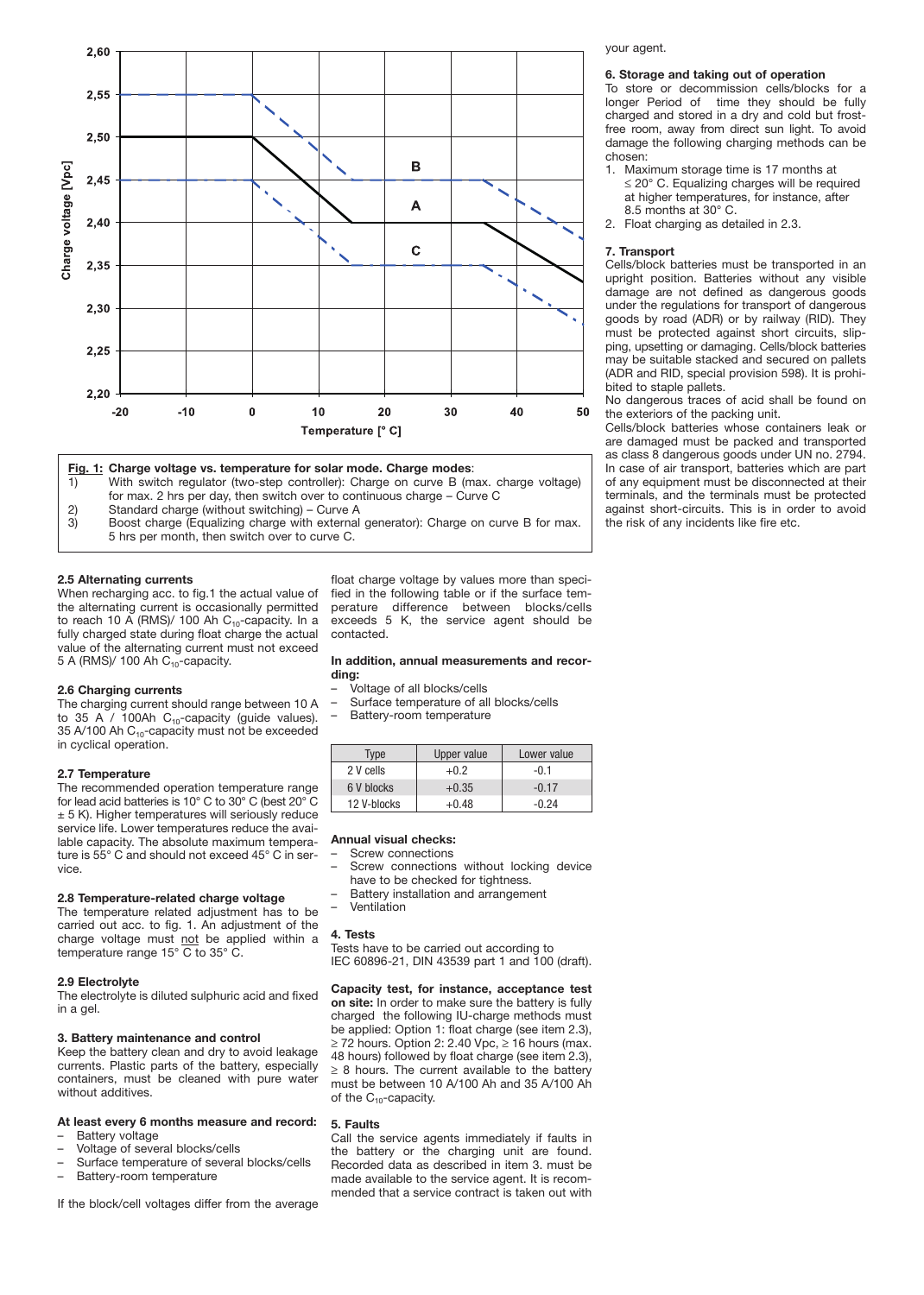

### **Fig. 1: Charge voltage vs. temperature for solar mode. Charge modes**:

- 1) With switch regulator (two-step controller): Charge on curve B (max. charge voltage) for max. 2 hrs per day, then switch over to continuous charge – Curve C
- 2) Standard charge (without switching) Curve A
- 3) Boost charge (Equalizing charge with external generator): Charge on curve B for max. 5 hrs per month, then switch over to curve C.

#### **2.5 Alternating currents**

When recharging acc. to fig.1 the actual value of the alternating current is occasionally permitted to reach 10 A (RMS)/ 100 Ah  $C_{10}$ -capacity. In a fully charged state during float charge the actual value of the alternating current must not exceed 5 A (RMS)/ 100 Ah  $C_{10}$ -capacity.

#### **2.6 Charging currents**

The charging current should range between 10 A to 35 A / 100Ah  $C_{10}$ -capacity (guide values). 35 A/100 Ah  $C_{10}$ -capacity must not be exceeded in cyclical operation.

### **2.7 Temperature**

The recommended operation temperature range for lead acid batteries is 10° C to 30° C (best 20° C ± 5 K). Higher temperatures will seriously reduce service life. Lower temperatures reduce the available capacity. The absolute maximum temperature is 55° C and should not exceed 45° C in service.

### **2.8 Temperature-related charge voltage**

The temperature related adjustment has to be carried out acc. to fig. 1. An adjustment of the charge voltage must not be applied within a temperature range 15° C to 35° C.

### **2.9 Electrolyte**

The electrolyte is diluted sulphuric acid and fixed in a gel.

### **3. Battery maintenance and control**

Keep the battery clean and dry to avoid leakage currents. Plastic parts of the battery, especially containers, must be cleaned with pure water without additives.

### **At least every 6 months measure and record:**

- Battery voltage
- Voltage of several blocks/cells
- Surface temperature of several blocks/cells
- Battery-room temperature

If the block/cell voltages differ from the average

float charge voltage by values more than specified in the following table or if the surface temperature difference between blocks/cells exceeds 5 K, the service agent should be contacted.

### **In addition, annual measurements and recording:**

- Voltage of all blocks/cells
- Surface temperature of all blocks/cells
- Battery-room temperature

| Tvpe        | Upper value | Lower value |
|-------------|-------------|-------------|
| 2 V cells   | $+0.2$      | $-0.1$      |
| 6 V blocks  | $+0.35$     | $-0.17$     |
| 12 V-blocks | $+0.48$     | $-0.24$     |

## **Annual visual checks:**

- Screw connections
- Screw connections without locking device have to be checked for tightness.
- Battery installation and arrangement
- Ventilation

#### **4. Tests**

Tests have to be carried out according to IEC 60896-21, DIN 43539 part 1 and 100 (draft).

**Capacity test, for instance, acceptance test on site:** In order to make sure the battery is fully charged the following IU-charge methods must be applied: Option 1: float charge (see item 2.3), ≥ 72 hours. Option 2: 2.40 Vpc,  $≥$  16 hours (max. 48 hours) followed by float charge (see item 2.3), ≥ 8 hours. The current available to the battery must be between 10 A/100 Ah and 35 A/100 Ah of the  $C_{10}$ -capacity.

#### **5. Faults**

Call the service agents immediately if faults in the battery or the charging unit are found. Recorded data as described in item 3. must be made available to the service agent. It is recommended that a service contract is taken out with

#### your agent.

### **6. Storage and taking out of operation**

To store or decommission cells/blocks for a longer Period of time they should be fully charged and stored in a dry and cold but frostfree room, away from direct sun light. To avoid damage the following charging methods can be chosen:

- 1. Maximum storage time is 17 months at ≤ 20° C. Equalizing charges will be required at higher temperatures, for instance, after 8.5 months at 30° C.
- 2. Float charging as detailed in 2.3.

### **7. Transport**

Cells/block batteries must be transported in an upright position. Batteries without any visible damage are not defined as dangerous goods under the regulations for transport of dangerous goods by road (ADR) or by railway (RID). They must be protected against short circuits, slipping, upsetting or damaging. Cells/block batteries may be suitable stacked and secured on pallets (ADR and RID, special provision 598). It is prohibited to staple pallets.

No dangerous traces of acid shall be found on the exteriors of the packing unit.

Cells/block batteries whose containers leak or are damaged must be packed and transported as class 8 dangerous goods under UN no. 2794. In case of air transport, batteries which are part of any equipment must be disconnected at their terminals, and the terminals must be protected against short-circuits. This is in order to avoid the risk of any incidents like fire etc.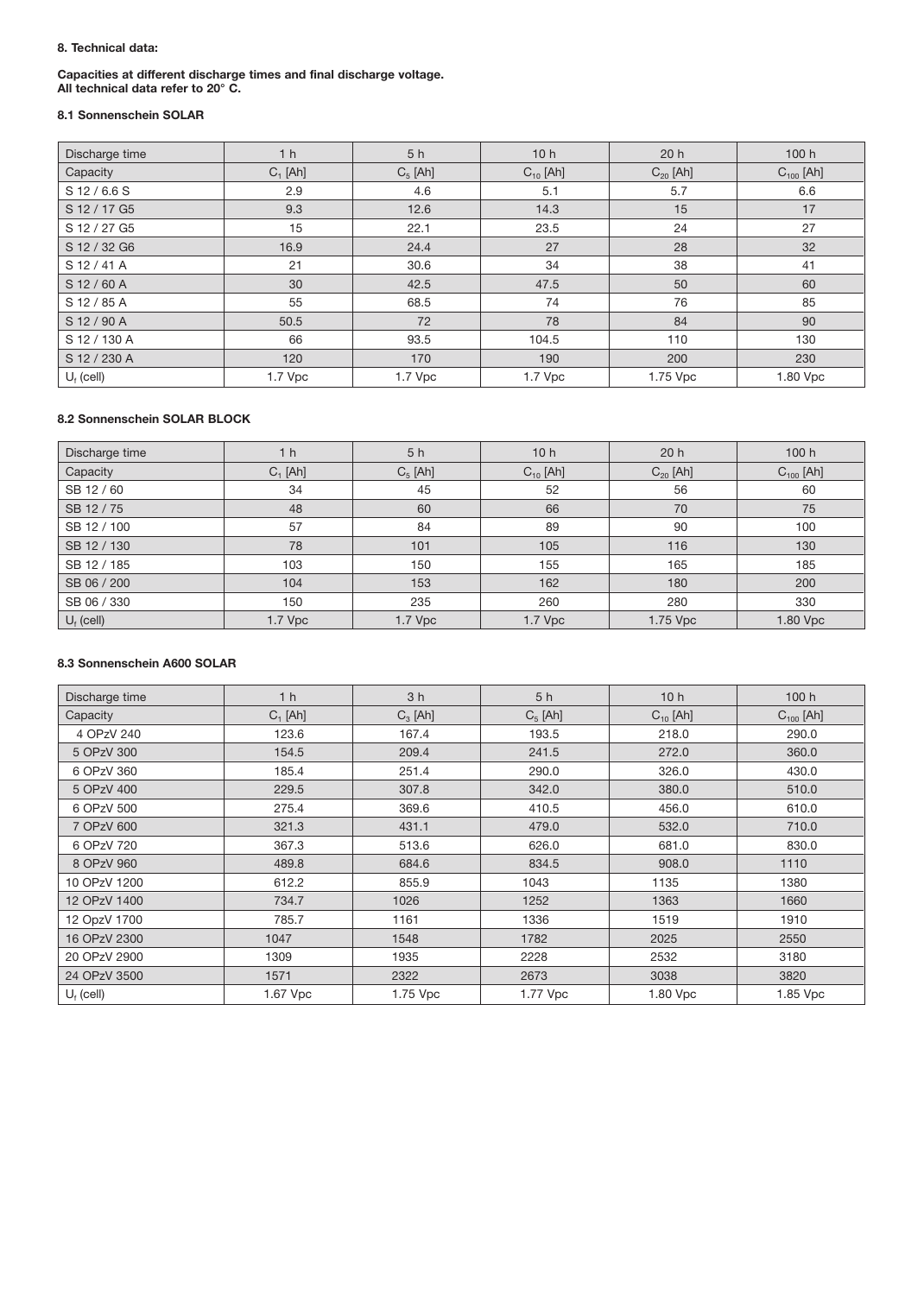## **8. Technical data:**

### **Capacities at different discharge times and final discharge voltage. All technical data refer to 20° C.**

## **8.1 Sonnenschein SOLAR**

| Discharge time | 1 <sub>h</sub> | 5h         | 10h           | 20h           | 100h           |
|----------------|----------------|------------|---------------|---------------|----------------|
| Capacity       | $C_1$ [Ah]     | $C_5$ [Ah] | $C_{10}$ [Ah] | $C_{20}$ [Ah] | $C_{100}$ [Ah] |
| S 12/6.6 S     | 2.9            | 4.6        | 5.1           | 5.7           | 6.6            |
| S 12 / 17 G5   | 9.3            | 12.6       | 14.3          | 15            | 17             |
| S 12 / 27 G5   | 15             | 22.1       | 23.5          | 24            | 27             |
| S 12 / 32 G6   | 16.9           | 24.4       | 27            | 28            | 32             |
| S 12 / 41 A    | 21             | 30.6       | 34            | 38            | 41             |
| S 12/60 A      | 30             | 42.5       | 47.5          | 50            | 60             |
| S 12 / 85 A    | 55             | 68.5       | 74            | 76            | 85             |
| S 12 / 90 A    | 50.5           | 72         | 78            | 84            | 90             |
| S 12 / 130 A   | 66             | 93.5       | 104.5         | 110           | 130            |
| S 12 / 230 A   | 120            | 170        | 190           | 200           | 230            |
| $U_f$ (cell)   | $1.7$ Vpc      | $1.7$ Vpc  | 1.7 Vpc       | 1.75 Vpc      | 1.80 Vpc       |

## **8.2 Sonnenschein SOLAR BLOCK**

| Discharge time | 1 <sub>h</sub> | 5h         | 10 <sub>h</sub> | 20h           | 100h           |
|----------------|----------------|------------|-----------------|---------------|----------------|
| Capacity       | $C_1$ [Ah]     | $C_5$ [Ah] | $C_{10}$ [Ah]   | $C_{20}$ [Ah] | $C_{100}$ [Ah] |
| SB 12 / 60     | 34             | 45         | 52              | 56            | 60             |
| SB 12 / 75     | 48             | 60         | 66              | 70            | 75             |
| SB 12 / 100    | 57             | 84         | 89              | 90            | 100            |
| SB 12 / 130    | 78             | 101        | 105             | 116           | 130            |
| SB 12 / 185    | 103            | 150        | 155             | 165           | 185            |
| SB 06 / 200    | 104            | 153        | 162             | 180           | 200            |
| SB 06 / 330    | 150            | 235        | 260             | 280           | 330            |
| $U_f$ (cell)   | 1.7 Vpc        | $1.7$ Vpc  | 1.7 Vpc         | 1.75 Vpc      | 1.80 Vpc       |

# **8.3 Sonnenschein A600 SOLAR**

| Discharge time | 1 <sub>h</sub> | 3 <sub>h</sub> | 5h         | 10 <sub>h</sub> | 100 h          |
|----------------|----------------|----------------|------------|-----------------|----------------|
| Capacity       | $C_1$ [Ah]     | $C_3$ [Ah]     | $C_5$ [Ah] | $C_{10}$ [Ah]   | $C_{100}$ [Ah] |
| 4 OPzV 240     | 123.6          | 167.4          | 193.5      | 218.0           | 290.0          |
| 5 OPzV 300     | 154.5          | 209.4          | 241.5      | 272.0           | 360.0          |
| 6 OPzV 360     | 185.4          | 251.4          | 290.0      | 326.0           | 430.0          |
| 5 OPzV 400     | 229.5          | 307.8          | 342.0      | 380.0           | 510.0          |
| 6 OPzV 500     | 275.4          | 369.6          | 410.5      | 456.0           | 610.0          |
| 7 OPzV 600     | 321.3          | 431.1          | 479.0      | 532.0           | 710.0          |
| 6 OPzV 720     | 367.3          | 513.6          | 626.0      | 681.0           | 830.0          |
| 8 OPzV 960     | 489.8          | 684.6          | 834.5      | 908.0           | 1110           |
| 10 OPzV 1200   | 612.2          | 855.9          | 1043       | 1135            | 1380           |
| 12 OPzV 1400   | 734.7          | 1026           | 1252       | 1363            | 1660           |
| 12 OpzV 1700   | 785.7          | 1161           | 1336       | 1519            | 1910           |
| 16 OPzV 2300   | 1047           | 1548           | 1782       | 2025            | 2550           |
| 20 OPzV 2900   | 1309           | 1935           | 2228       | 2532            | 3180           |
| 24 OPzV 3500   | 1571           | 2322           | 2673       | 3038            | 3820           |
| $U_f$ (cell)   | 1.67 Vpc       | 1.75 Vpc       | 1.77 Vpc   | 1.80 Vpc        | 1.85 Vpc       |